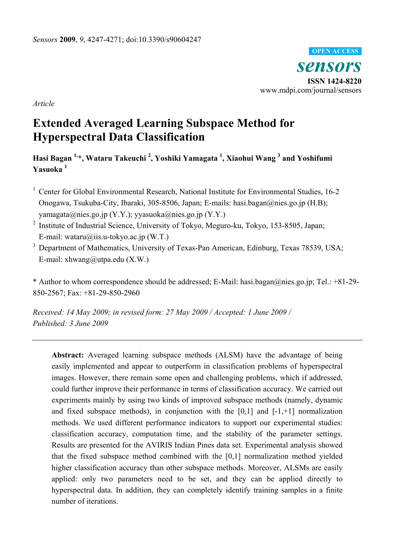

*Article* 

# **Extended Averaged Learning Subspace Method for Hyperspectral Data Classification**

# **Hasi Bagan 1,\*, Wataru Takeuchi 2 , Yoshiki Yamagata 1 , Xiaohui Wang 3 and Yoshifumi Yasuoka <sup>1</sup>**

- <sup>1</sup> Center for Global Environmental Research, National Institute for Environmental Studies, 16-2 Onogawa, Tsukuba-City, Ibaraki, 305-8506, Japan; E-mails: hasi.bagan@nies.go.jp (H.B); yamagata@nies.go.jp (Y.Y.); yyasuoka@nies.go.jp (Y.Y.)
- <sup>2</sup> Institute of Industrial Science, University of Tokyo, Meguro-ku, Tokyo, 153-8505, Japan; E-mail: wataru@iis.u-tokyo.ac.jp (W.T.)
- <sup>3</sup> Department of Mathematics, University of Texas-Pan American, Edinburg, Texas 78539, USA; E-mail: xhwang@utpa.edu (X.W.)

\* Author to whom correspondence should be addressed; E-Mail: hasi.bagan@nies.go.jp; Tel.: +81-29- 850-2567; Fax: +81-29-850-2960

*Received: 14 May 2009; in revised form: 27 May 2009 / Accepted: 1 June 2009 / Published: 3 June 2009* 

**Abstract:** Averaged learning subspace methods (ALSM) have the advantage of being easily implemented and appear to outperform in classification problems of hyperspectral images. However, there remain some open and challenging problems, which if addressed, could further improve their performance in terms of classification accuracy. We carried out experiments mainly by using two kinds of improved subspace methods (namely, dynamic and fixed subspace methods), in conjunction with the  $[0,1]$  and  $[-1, +1]$  normalization methods. We used different performance indicators to support our experimental studies: classification accuracy, computation time, and the stability of the parameter settings. Results are presented for the AVIRIS Indian Pines data set. Experimental analysis showed that the fixed subspace method combined with the [0,1] normalization method yielded higher classification accuracy than other subspace methods. Moreover, ALSMs are easily applied: only two parameters need to be set, and they can be applied directly to hyperspectral data. In addition, they can completely identify training samples in a finite number of iterations.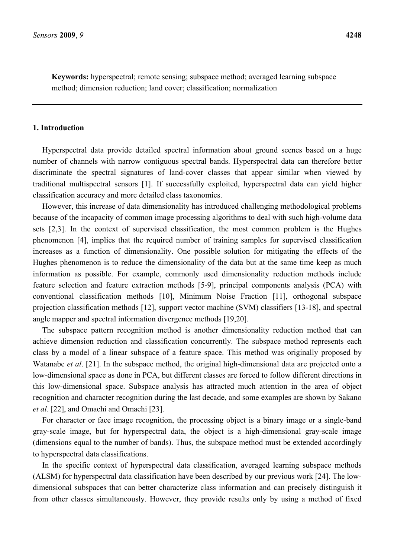**Keywords:** hyperspectral; remote sensing; subspace method; averaged learning subspace method; dimension reduction; land cover; classification; normalization

# **1. Introduction**

Hyperspectral data provide detailed spectral information about ground scenes based on a huge number of channels with narrow contiguous spectral bands. Hyperspectral data can therefore better discriminate the spectral signatures of land-cover classes that appear similar when viewed by traditional multispectral sensors [1]. If successfully exploited, hyperspectral data can yield higher classification accuracy and more detailed class taxonomies.

However, this increase of data dimensionality has introduced challenging methodological problems because of the incapacity of common image processing algorithms to deal with such high-volume data sets [2,3]. In the context of supervised classification, the most common problem is the Hughes phenomenon [4], implies that the required number of training samples for supervised classification increases as a function of dimensionality. One possible solution for mitigating the effects of the Hughes phenomenon is to reduce the dimensionality of the data but at the same time keep as much information as possible. For example, commonly used dimensionality reduction methods include feature selection and feature extraction methods [5-9], principal components analysis (PCA) with conventional classification methods [10], Minimum Noise Fraction [11], orthogonal subspace projection classification methods [12], support vector machine (SVM) classifiers [13-18], and spectral angle mapper and spectral information divergence methods [19,20].

The subspace pattern recognition method is another dimensionality reduction method that can achieve dimension reduction and classification concurrently. The subspace method represents each class by a model of a linear subspace of a feature space. This method was originally proposed by Watanabe *et al*. [21]. In the subspace method, the original high-dimensional data are projected onto a low-dimensional space as done in PCA, but different classes are forced to follow different directions in this low-dimensional space. Subspace analysis has attracted much attention in the area of object recognition and character recognition during the last decade, and some examples are shown by Sakano *et al*. [22], and Omachi and Omachi [23].

For character or face image recognition, the processing object is a binary image or a single-band gray-scale image, but for hyperspectral data, the object is a high-dimensional gray-scale image (dimensions equal to the number of bands). Thus, the subspace method must be extended accordingly to hyperspectral data classifications.

In the specific context of hyperspectral data classification, averaged learning subspace methods (ALSM) for hyperspectral data classification have been described by our previous work [24]. The lowdimensional subspaces that can better characterize class information and can precisely distinguish it from other classes simultaneously. However, they provide results only by using a method of fixed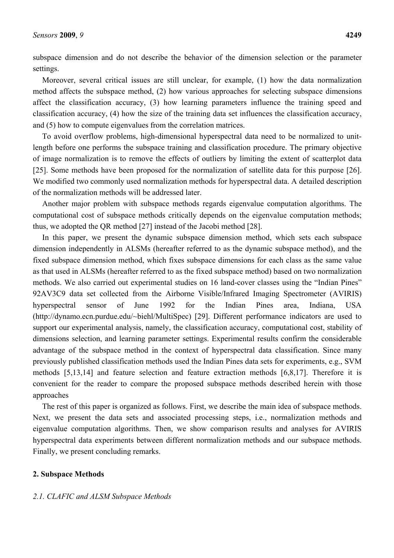subspace dimension and do not describe the behavior of the dimension selection or the parameter settings.

Moreover, several critical issues are still unclear, for example, (1) how the data normalization method affects the subspace method, (2) how various approaches for selecting subspace dimensions affect the classification accuracy, (3) how learning parameters influence the training speed and classification accuracy, (4) how the size of the training data set influences the classification accuracy, and (5) how to compute eigenvalues from the correlation matrices.

To avoid overflow problems, high-dimensional hyperspectral data need to be normalized to unitlength before one performs the subspace training and classification procedure. The primary objective of image normalization is to remove the effects of outliers by limiting the extent of scatterplot data [25]. Some methods have been proposed for the normalization of satellite data for this purpose [26]. We modified two commonly used normalization methods for hyperspectral data. A detailed description of the normalization methods will be addressed later.

Another major problem with subspace methods regards eigenvalue computation algorithms. The computational cost of subspace methods critically depends on the eigenvalue computation methods; thus, we adopted the QR method [27] instead of the Jacobi method [28].

In this paper, we present the dynamic subspace dimension method, which sets each subspace dimension independently in ALSMs (hereafter referred to as the dynamic subspace method), and the fixed subspace dimension method, which fixes subspace dimensions for each class as the same value as that used in ALSMs (hereafter referred to as the fixed subspace method) based on two normalization methods. We also carried out experimental studies on 16 land-cover classes using the "Indian Pines" 92AV3C9 data set collected from the Airborne Visible/Infrared Imaging Spectrometer (AVIRIS) hyperspectral sensor of June 1992 for the Indian Pines area, Indiana, USA (http://dynamo.ecn.purdue.edu/~biehl/MultiSpec) [29]. Different performance indicators are used to support our experimental analysis, namely, the classification accuracy, computational cost, stability of dimensions selection, and learning parameter settings. Experimental results confirm the considerable advantage of the subspace method in the context of hyperspectral data classification. Since many previously published classification methods used the Indian Pines data sets for experiments, e.g., SVM methods [5,13,14] and feature selection and feature extraction methods [6,8,17]. Therefore it is convenient for the reader to compare the proposed subspace methods described herein with those approaches

The rest of this paper is organized as follows. First, we describe the main idea of subspace methods. Next, we present the data sets and associated processing steps, i.e., normalization methods and eigenvalue computation algorithms. Then, we show comparison results and analyses for AVIRIS hyperspectral data experiments between different normalization methods and our subspace methods. Finally, we present concluding remarks.

# **2. Subspace Methods**

# *2.1. CLAFIC and ALSM Subspace Methods*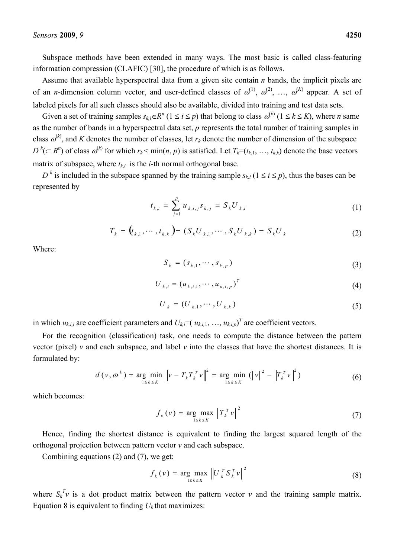Subspace methods have been extended in many ways. The most basic is called class-featuring information compression (CLAFIC) [30], the procedure of which is as follows.

Assume that available hyperspectral data from a given site contain *n* bands, the implicit pixels are of an *n*-dimension column vector, and user-defined classes of  $\omega^{(1)}$ ,  $\omega^{(2)}$ , ...,  $\omega^{(K)}$  appear. A set of labeled pixels for all such classes should also be available, divided into training and test data sets.

Given a set of training samples  $s_{k,i} \in R^n$  ( $1 \le i \le p$ ) that belong to class  $\omega^{(k)}$  ( $1 \le k \le K$ ), where *n* same as the number of bands in a hyperspectral data set, *p* represents the total number of training samples in class  $\omega^{(k)}$ , and *K* denotes the number of classes, let  $r_k$  denote the number of dimension of the subspace  $D^k$ ( $\subset$  *R*<sup>n</sup>) of class  $\omega^{(k)}$  for which  $r_k$   $\leq$  min(*n*, *p*) is satisfied. Let  $T_k$ =( $t_{k,1}, \ldots, t_{k,k}$ ) denote the base vectors matrix of subspace, where  $t_{ki}$  is the *i*-th normal orthogonal base.

 $D^k$  is included in the subspace spanned by the training sample  $s_{k,i}$  ( $1 \le i \le p$ ), thus the bases can be represented by

$$
t_{k,i} = \sum_{j=1}^{p} u_{k,i,j} s_{k,j} = S_k U_{k,i}
$$
 (1)

$$
T_k = (t_{k,1}, \cdots, t_{k,k}) = (S_k U_{k,1}, \cdots, S_k U_{k,k}) = S_k U_k
$$
\n(2)

Where:

$$
S_k = (s_{k,1}, \cdots, s_{k,p})
$$
\n
$$
(3)
$$

$$
U_{k,i} = (u_{k,i,1}, \cdots, u_{k,i,p})^T
$$
 (4)

$$
U_k = (U_{k,1}, \cdots, U_{k,k})
$$
\n
$$
(5)
$$

in which  $u_{k,i,j}$  are coefficient parameters and  $U_{k,i} = (u_{k,i,1}, \ldots, u_{k,i,p})^T$  are coefficient vectors.

For the recognition (classification) task, one needs to compute the distance between the pattern vector (pixel) *v* and each subspace, and label *v* into the classes that have the shortest distances. It is formulated by:

$$
d(v, \omega^k) = \underset{1 \le k \le K}{\arg \min} \ \left\| v - T_k T_k^T v \right\|^2 = \underset{1 \le k \le K}{\arg \min} \ \left( \left\| v \right\|^2 - \left\| T_k^T v \right\|^2 \right) \tag{6}
$$

which becomes:

$$
f_k(v) = \underset{1 \le k \le K}{\arg \max} \left\| T_k^T v \right\|^2 \tag{7}
$$

Hence, finding the shortest distance is equivalent to finding the largest squared length of the orthogonal projection between pattern vector *v* and each subspace.

Combining equations (2) and (7), we get:

$$
f_k(v) = \underset{1 \le k \le K}{\arg \max} \left\| U_k^T S_k^T v \right\|^2 \tag{8}
$$

where  $S_k^T v$  is a dot product matrix between the pattern vector *v* and the training sample matrix. Equation 8 is equivalent to finding  $U_k$  that maximizes: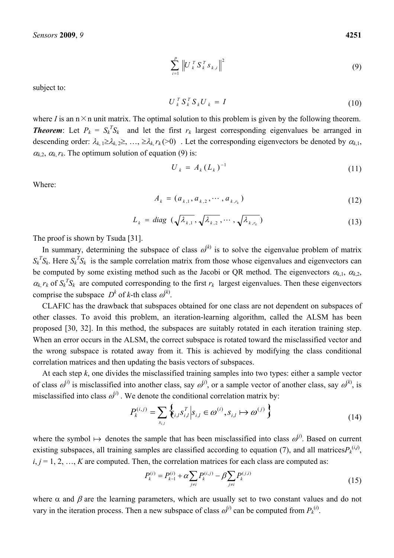$$
\sum_{i=1}^{p} \left\| U_{k}^{T} S_{k}^{T} s_{k,i} \right\|^{2} \tag{9}
$$

subject to:

$$
U_k^T S_k^T S_k U_k = I \tag{10}
$$

where *I* is an  $n \times n$  unit matrix. The optimal solution to this problem is given by the following theorem. **Theorem**: Let  $P_k = S_k^T S_k$  and let the first  $r_k$  largest corresponding eigenvalues be arranged in descending order:  $\lambda_{k,1} \geq \lambda_{k,2} \geq \ldots$ ,  $\geq \lambda_{k} r_{k}$  (>0). Let the corresponding eigenvectors be denoted by  $\alpha_{k,1}$ ,  $\alpha_{k,2}, \alpha_k$ , *r<sub>k</sub>*. The optimum solution of equation (9) is:

$$
U_k = A_k (L_k)^{-1}
$$
 (11)

Where:

$$
A_k = (a_{k,1}, a_{k,2}, \cdots, a_{k,r_k})
$$
\n(12)

$$
L_k = diag \left( \sqrt{\lambda_{k,1}}, \sqrt{\lambda_{k,2}}, \cdots, \sqrt{\lambda_{k,r_k}} \right) \tag{13}
$$

The proof is shown by Tsuda [31].

In summary, determining the subspace of class  $\omega^{(k)}$  is to solve the eigenvalue problem of matrix  $S_k^T S_k$ . Here  $S_k^T S_k$  is the sample correlation matrix from those whose eigenvalues and eigenvectors can be computed by some existing method such as the Jacobi or QR method. The eigenvectors  $\alpha_{k,1}$ ,  $\alpha_{k,2}$ ,  $\alpha_k$ ,  $r_k$  of  $S_k^T S_k$  are computed corresponding to the first  $r_k$  largest eigenvalues. Then these eigenvectors comprise the subspace  $D^k$  of *k*-th class  $\omega^{(k)}$ .

CLAFIC has the drawback that subspaces obtained for one class are not dependent on subspaces of other classes. To avoid this problem, an iteration-learning algorithm, called the ALSM has been proposed [30, 32]. In this method, the subspaces are suitably rotated in each iteration training step. When an error occurs in the ALSM, the correct subspace is rotated toward the misclassified vector and the wrong subspace is rotated away from it. This is achieved by modifying the class conditional correlation matrices and then updating the basis vectors of subspaces.

At each step *k*, one divides the misclassified training samples into two types: either a sample vector of class  $\omega^{(i)}$  is misclassified into another class, say  $\omega^{(i)}$ , or a sample vector of another class, say  $\omega^{(k)}$ , is misclassified into class  $\omega^{(i)}$ . We denote the conditional correlation matrix by:

$$
P_k^{(i,j)} = \sum_{s_{i,l}} \left\{ \sum_{i,l} s_{i,l}^T \middle| s_{i,l} \in \omega^{(i)}, s_{i,l} \mapsto \omega^{(j)} \right\} \tag{14}
$$

where the symbol  $\mapsto$  denotes the sample that has been misclassified into class  $\omega^{(j)}$ . Based on current existing subspaces, all training samples are classified according to equation (7), and all matrices $P_k^{(i,j)}$ ,  $i, j = 1, 2, \ldots, K$  are computed. Then, the correlation matrices for each class are computed as:

$$
P_k^{(i)} = P_{k-1}^{(i)} + \alpha \sum_{j \neq i} P_k^{(i,j)} - \beta \sum_{j \neq i} P_k^{(j,i)}
$$
(15)

where  $\alpha$  and  $\beta$  are the learning parameters, which are usually set to two constant values and do not vary in the iteration process. Then a new subspace of class  $\omega^{(i)}$  can be computed from  $P_k^{(i)}$ .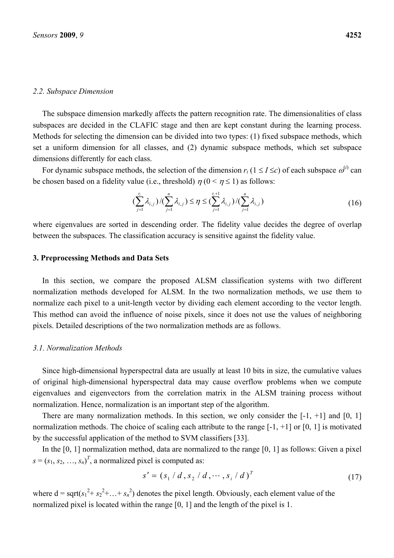#### *2.2. Subspace Dimension*

The subspace dimension markedly affects the pattern recognition rate. The dimensionalities of class subspaces are decided in the CLAFIC stage and then are kept constant during the learning process. Methods for selecting the dimension can be divided into two types: (1) fixed subspace methods, which set a uniform dimension for all classes, and (2) dynamic subspace methods, which set subspace dimensions differently for each class.

For dynamic subspace methods, the selection of the dimension  $r_i$  ( $1 \le I \le c$ ) of each subspace  $\omega^{(i)}$  can be chosen based on a fidelity value (i.e., threshold)  $\eta$  ( $0 < \eta \le 1$ ) as follows:

$$
\left(\sum_{j=1}^{r_i} \lambda_{i,j}\right) / \left(\sum_{j=1}^n \lambda_{i,j}\right) \le \eta \le \left(\sum_{j=1}^{r_i+1} \lambda_{i,j}\right) / \left(\sum_{j=1}^n \lambda_{i,j}\right)
$$
\n(16)

where eigenvalues are sorted in descending order. The fidelity value decides the degree of overlap between the subspaces. The classification accuracy is sensitive against the fidelity value.

#### **3. Preprocessing Methods and Data Sets**

In this section, we compare the proposed ALSM classification systems with two different normalization methods developed for ALSM. In the two normalization methods, we use them to normalize each pixel to a unit-length vector by dividing each element according to the vector length. This method can avoid the influence of noise pixels, since it does not use the values of neighboring pixels. Detailed descriptions of the two normalization methods are as follows.

#### *3.1. Normalization Methods*

Since high-dimensional hyperspectral data are usually at least 10 bits in size, the cumulative values of original high-dimensional hyperspectral data may cause overflow problems when we compute eigenvalues and eigenvectors from the correlation matrix in the ALSM training process without normalization. Hence, normalization is an important step of the algorithm.

There are many normalization methods. In this section, we only consider the  $[-1, +1]$  and  $[0, 1]$ normalization methods. The choice of scaling each attribute to the range  $[-1, +1]$  or  $[0, 1]$  is motivated by the successful application of the method to SVM classifiers [33].

In the [0, 1] normalization method, data are normalized to the range [0, 1] as follows: Given a pixel  $s = (s_1, s_2, \ldots, s_n)^T$ , a normalized pixel is computed as:

$$
s' = (s_1 / d, s_2 / d, \cdots, s_i / d)^T
$$
 (17)

where  $d = \sqrt{\frac{s_1^2 + s_2^2 + \ldots + s_n^2}}$  denotes the pixel length. Obviously, each element value of the normalized pixel is located within the range [0, 1] and the length of the pixel is 1.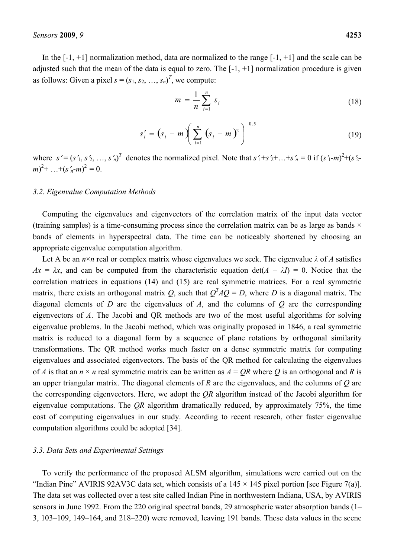In the  $[-1, +1]$  normalization method, data are normalized to the range  $[-1, +1]$  and the scale can be adjusted such that the mean of the data is equal to zero. The  $[-1, +1]$  normalization procedure is given as follows: Given a pixel  $s = (s_1, s_2, ..., s_n)^T$ , we compute:

$$
m = \frac{1}{n} \sum_{i=1}^{n} s_i
$$
 (18)

$$
s'_{i} = (s_{i} - m) \left( \sum_{i=1}^{n} (s_{i} - m)^{2} \right)^{-0.5}
$$
 (19)

where  $s' = (s'_1, s'_2, \ldots, s'_n)^T$  denotes the normalized pixel. Note that  $s'_1 + s'_2 + \ldots + s'_n = 0$  if  $(s'_1 - m)^2 + (s'_2 - m)^2$  $(m)^2$ + ...+(*s'<sub>n</sub>*-*m*)<sup>2</sup> = 0.

#### *3.2. Eigenvalue Computation Methods*

Computing the eigenvalues and eigenvectors of the correlation matrix of the input data vector (training samples) is a time-consuming process since the correlation matrix can be as large as bands  $\times$ bands of elements in hyperspectral data. The time can be noticeably shortened by choosing an appropriate eigenvalue computation algorithm.

Let A be an  $n \times n$  real or complex matrix whose eigenvalues we seek. The eigenvalue  $\lambda$  of A satisfies  $Ax = \lambda x$ , and can be computed from the characteristic equation det( $A - \lambda I$ ) = 0. Notice that the correlation matrices in equations (14) and (15) are real symmetric matrices. For a real symmetric matrix, there exists an orthogonal matrix *Q*, such that  $Q^T A Q = D$ , where *D* is a diagonal matrix. The diagonal elements of *D* are the eigenvalues of *A*, and the columns of *Q* are the corresponding eigenvectors of *A*. The Jacobi and QR methods are two of the most useful algorithms for solving eigenvalue problems. In the Jacobi method, which was originally proposed in 1846, a real symmetric matrix is reduced to a diagonal form by a sequence of plane rotations by orthogonal similarity transformations. The QR method works much faster on a dense symmetric matrix for computing eigenvalues and associated eigenvectors. The basis of the QR method for calculating the eigenvalues of *A* is that an  $n \times n$  real symmetric matrix can be written as  $A = QR$  where *Q* is an orthogonal and *R* is an upper triangular matrix. The diagonal elements of *R* are the eigenvalues, and the columns of *Q* are the corresponding eigenvectors. Here, we adopt the *QR* algorithm instead of the Jacobi algorithm for eigenvalue computations. The *QR* algorithm dramatically reduced, by approximately 75%, the time cost of computing eigenvalues in our study. According to recent research, other faster eigenvalue computation algorithms could be adopted [34].

#### *3.3. Data Sets and Experimental Settings*

To verify the performance of the proposed ALSM algorithm, simulations were carried out on the "Indian Pine" AVIRIS 92AV3C data set, which consists of a  $145 \times 145$  pixel portion [see Figure 7(a)]. The data set was collected over a test site called Indian Pine in northwestern Indiana, USA, by AVIRIS sensors in June 1992. From the 220 original spectral bands, 29 atmospheric water absorption bands (1– 3, 103–109, 149–164, and 218–220) were removed, leaving 191 bands. These data values in the scene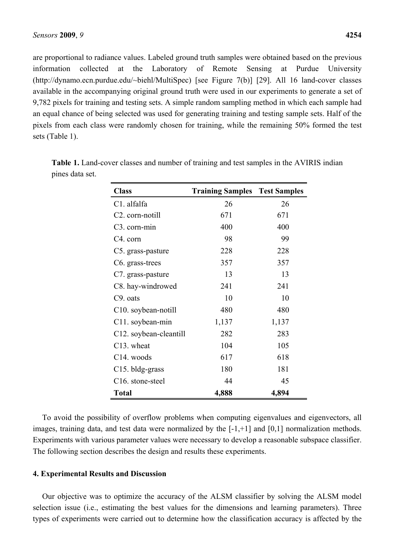are proportional to radiance values. Labeled ground truth samples were obtained based on the previous information collected at the Laboratory of Remote Sensing at Purdue University (http://dynamo.ecn.purdue.edu/~biehl/MultiSpec) [see Figure 7(b)] [29]. All 16 land-cover classes available in the accompanying original ground truth were used in our experiments to generate a set of 9,782 pixels for training and testing sets. A simple random sampling method in which each sample had an equal chance of being selected was used for generating training and testing sample sets. Half of the pixels from each class were randomly chosen for training, while the remaining 50% formed the test sets (Table 1).

| <b>Class</b>                     | <b>Training Samples Test Samples</b> |       |
|----------------------------------|--------------------------------------|-------|
| C1. alfalfa                      | 26                                   | 26    |
| C <sub>2</sub> . corn-notill     | 671                                  | 671   |
| C <sub>3</sub> . corn-min        | 400                                  | 400   |
| C <sub>4</sub> . corn            | 98                                   | 99    |
| C5. grass-pasture                | 228                                  | 228   |
| C <sub>6</sub> grass-trees       | 357                                  | 357   |
| C7. grass-pasture                | 13                                   | 13    |
| C8. hay-windrowed                | 241                                  | 241   |
| C <sub>9</sub> . oats            | 10                                   | 10    |
| C <sub>10</sub> . soybean-notill | 480                                  | 480   |
| C11. soybean-min                 | 1,137                                | 1,137 |
| C12. soybean-cleantill           | 282                                  | 283   |
| C <sub>13</sub> . wheat          | 104                                  | 105   |
| C <sub>14</sub> . woods          | 617                                  | 618   |
| C <sub>15</sub> . bldg-grass     | 180                                  | 181   |
| C <sub>16</sub> . stone-steel    | 44                                   | 45    |
| <b>Total</b>                     | 4,888                                | 4,894 |

**Table 1.** Land-cover classes and number of training and test samples in the AVIRIS indian pines data set.

To avoid the possibility of overflow problems when computing eigenvalues and eigenvectors, all images, training data, and test data were normalized by the [-1,+1] and [0,1] normalization methods. Experiments with various parameter values were necessary to develop a reasonable subspace classifier. The following section describes the design and results these experiments.

# **4. Experimental Results and Discussion**

Our objective was to optimize the accuracy of the ALSM classifier by solving the ALSM model selection issue (i.e., estimating the best values for the dimensions and learning parameters). Three types of experiments were carried out to determine how the classification accuracy is affected by the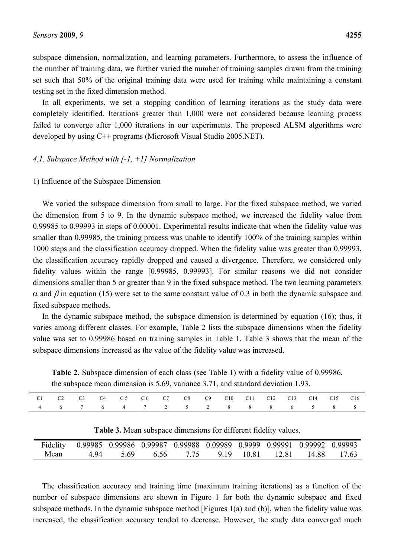subspace dimension, normalization, and learning parameters. Furthermore, to assess the influence of the number of training data, we further varied the number of training samples drawn from the training set such that 50% of the original training data were used for training while maintaining a constant testing set in the fixed dimension method.

In all experiments, we set a stopping condition of learning iterations as the study data were completely identified. Iterations greater than 1,000 were not considered because learning process failed to converge after 1,000 iterations in our experiments. The proposed ALSM algorithms were developed by using C++ programs (Microsoft Visual Studio 2005.NET).

# *4.1. Subspace Method with [-1, +1] Normalization*

# 1) Influence of the Subspace Dimension

We varied the subspace dimension from small to large. For the fixed subspace method, we varied the dimension from 5 to 9. In the dynamic subspace method, we increased the fidelity value from 0.99985 to 0.99993 in steps of 0.00001. Experimental results indicate that when the fidelity value was smaller than 0.99985, the training process was unable to identify 100% of the training samples within 1000 steps and the classification accuracy dropped. When the fidelity value was greater than 0.99993, the classification accuracy rapidly dropped and caused a divergence. Therefore, we considered only fidelity values within the range [0.99985, 0.99993]. For similar reasons we did not consider dimensions smaller than 5 or greater than 9 in the fixed subspace method. The two learning parameters  $\alpha$  and  $\beta$  in equation (15) were set to the same constant value of 0.3 in both the dynamic subspace and fixed subspace methods.

In the dynamic subspace method, the subspace dimension is determined by equation (16); thus, it varies among different classes. For example, Table 2 lists the subspace dimensions when the fidelity value was set to 0.99986 based on training samples in Table 1. Table 3 shows that the mean of the subspace dimensions increased as the value of the fidelity value was increased.

**Table 2.** Subspace dimension of each class (see Table 1) with a fidelity value of 0.99986. the subspace mean dimension is 5.69, variance 3.71, and standard deviation 1.93.

| 4 6 7 6 4 7 2 5 2 8 8 8 6 5 8 5 |  |  | C1 C2 C3 C4 C5 C6 C7 C8 C9 C10 C11 C12 C13 C14 C15 C16 |  |  |  |  |  |
|---------------------------------|--|--|--------------------------------------------------------|--|--|--|--|--|
|                                 |  |  |                                                        |  |  |  |  |  |

|  |  |  |  |  |  |  | Table 3. Mean subspace dimensions for different fidelity values. |
|--|--|--|--|--|--|--|------------------------------------------------------------------|
|--|--|--|--|--|--|--|------------------------------------------------------------------|

|      | Fidelity 0.99985 0.99986 0.99987 0.99988 0.09989 0.9999 0.99991 0.99992 0.99993 |      |        |                       |  |             |
|------|---------------------------------------------------------------------------------|------|--------|-----------------------|--|-------------|
| Mean | 494                                                                             | 5.69 | - 6.56 | 7 75 9 19 10 81 12 81 |  | 14.88 17.63 |

The classification accuracy and training time (maximum training iterations) as a function of the number of subspace dimensions are shown in Figure 1 for both the dynamic subspace and fixed subspace methods. In the dynamic subspace method [Figures 1(a) and (b)], when the fidelity value was increased, the classification accuracy tended to decrease. However, the study data converged much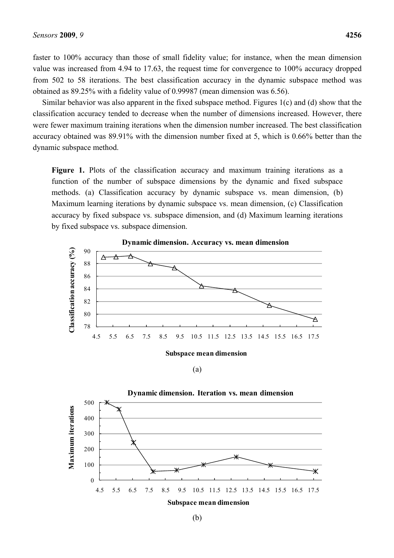faster to 100% accuracy than those of small fidelity value; for instance, when the mean dimension value was increased from 4.94 to 17.63, the request time for convergence to 100% accuracy dropped from 502 to 58 iterations. The best classification accuracy in the dynamic subspace method was obtained as 89.25% with a fidelity value of 0.99987 (mean dimension was 6.56).

Similar behavior was also apparent in the fixed subspace method. Figures 1(c) and (d) show that the classification accuracy tended to decrease when the number of dimensions increased. However, there were fewer maximum training iterations when the dimension number increased. The best classification accuracy obtained was 89.91% with the dimension number fixed at 5, which is 0.66% better than the dynamic subspace method.

Figure 1. Plots of the classification accuracy and maximum training iterations as a function of the number of subspace dimensions by the dynamic and fixed subspace methods. (a) Classification accuracy by dynamic subspace vs. mean dimension, (b) Maximum learning iterations by dynamic subspace vs. mean dimension, (c) Classification accuracy by fixed subspace vs. subspace dimension, and (d) Maximum learning iterations by fixed subspace vs. subspace dimension.



(a)

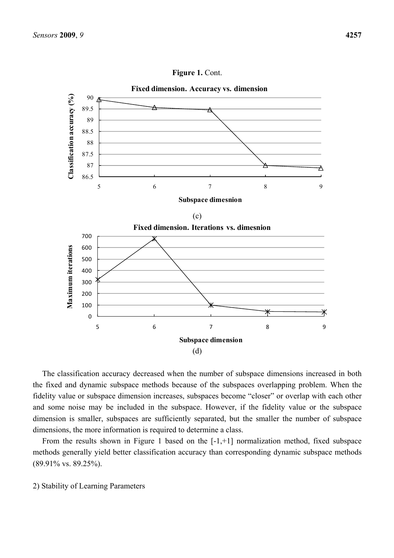

Figure 1. Cont.

The classification accuracy decreased when the number of subspace dimensions increased in both the fixed and dynamic subspace methods because of the subspaces overlapping problem. When the fidelity value or subspace dimension increases, subspaces become "closer" or overlap with each other and some noise may be included in the subspace. However, if the fidelity value or the subspace dimension is smaller, subspaces are sufficiently separated, but the smaller the number of subspace dimensions, the more information is required to determine a class.

From the results shown in Figure 1 based on the [-1,+1] normalization method, fixed subspace methods generally yield better classification accuracy than corresponding dynamic subspace methods (89.91% vs. 89.25%).

2) Stability of Learning Parameters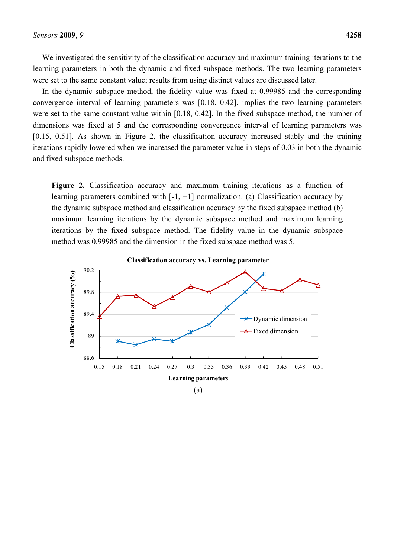We investigated the sensitivity of the classification accuracy and maximum training iterations to the learning parameters in both the dynamic and fixed subspace methods. The two learning parameters were set to the same constant value; results from using distinct values are discussed later.

In the dynamic subspace method, the fidelity value was fixed at 0.99985 and the corresponding convergence interval of learning parameters was [0.18, 0.42], implies the two learning parameters were set to the same constant value within [0.18, 0.42]. In the fixed subspace method, the number of dimensions was fixed at 5 and the corresponding convergence interval of learning parameters was [0.15, 0.51]. As shown in Figure 2, the classification accuracy increased stably and the training iterations rapidly lowered when we increased the parameter value in steps of 0.03 in both the dynamic and fixed subspace methods.

**Figure 2.** Classification accuracy and maximum training iterations as a function of learning parameters combined with  $[-1, +1]$  normalization. (a) Classification accuracy by the dynamic subspace method and classification accuracy by the fixed subspace method (b) maximum learning iterations by the dynamic subspace method and maximum learning iterations by the fixed subspace method. The fidelity value in the dynamic subspace method was 0.99985 and the dimension in the fixed subspace method was 5.

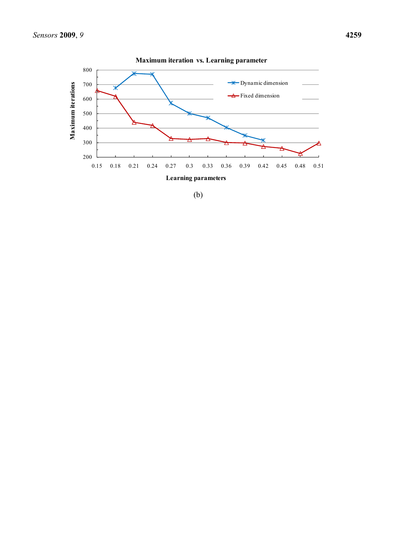

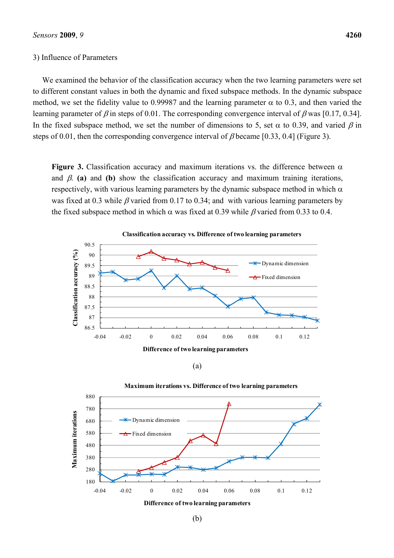#### 3) Influence of Parameters

We examined the behavior of the classification accuracy when the two learning parameters were set to different constant values in both the dynamic and fixed subspace methods. In the dynamic subspace method, we set the fidelity value to 0.99987 and the learning parameter  $\alpha$  to 0.3, and then varied the learning parameter of  $\beta$  in steps of 0.01. The corresponding convergence interval of  $\beta$  was [0.17, 0.34]. In the fixed subspace method, we set the number of dimensions to 5, set  $\alpha$  to 0.39, and varied  $\beta$  in steps of 0.01, then the corresponding convergence interval of  $\beta$  became [0.33, 0.4] (Figure 3).

**Figure 3.** Classification accuracy and maximum iterations vs. the difference between  $\alpha$ and  $\beta$ . (a) and (b) show the classification accuracy and maximum training iterations, respectively, with various learning parameters by the dynamic subspace method in which  $\alpha$ was fixed at 0.3 while  $\beta$  varied from 0.17 to 0.34; and with various learning parameters by the fixed subspace method in which  $\alpha$  was fixed at 0.39 while  $\beta$  varied from 0.33 to 0.4.



(a)



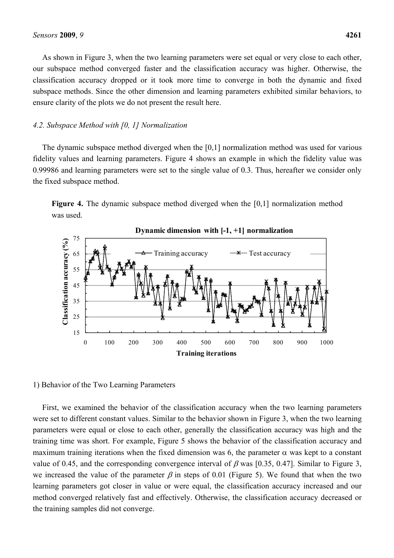As shown in Figure 3, when the two learning parameters were set equal or very close to each other, our subspace method converged faster and the classification accuracy was higher. Otherwise, the classification accuracy dropped or it took more time to converge in both the dynamic and fixed subspace methods. Since the other dimension and learning parameters exhibited similar behaviors, to ensure clarity of the plots we do not present the result here.

#### *4.2. Subspace Method with [0, 1] Normalization*

The dynamic subspace method diverged when the [0,1] normalization method was used for various fidelity values and learning parameters. Figure 4 shows an example in which the fidelity value was 0.99986 and learning parameters were set to the single value of 0.3. Thus, hereafter we consider only the fixed subspace method.





1) Behavior of the Two Learning Parameters

First, we examined the behavior of the classification accuracy when the two learning parameters were set to different constant values. Similar to the behavior shown in Figure 3, when the two learning parameters were equal or close to each other, generally the classification accuracy was high and the training time was short. For example, Figure 5 shows the behavior of the classification accuracy and maximum training iterations when the fixed dimension was 6, the parameter  $\alpha$  was kept to a constant value of 0.45, and the corresponding convergence interval of  $\beta$  was [0.35, 0.47]. Similar to Figure 3, we increased the value of the parameter  $\beta$  in steps of 0.01 (Figure 5). We found that when the two learning parameters got closer in value or were equal, the classification accuracy increased and our method converged relatively fast and effectively. Otherwise, the classification accuracy decreased or the training samples did not converge.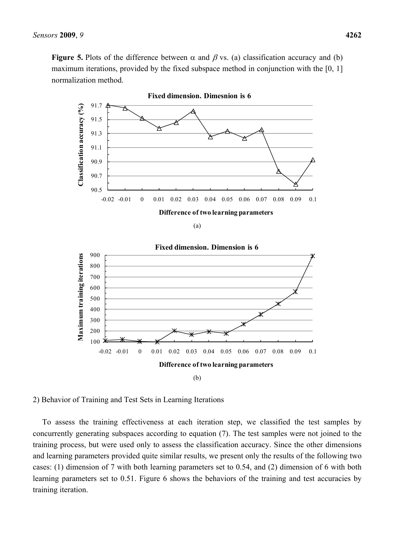**Figure 5.** Plots of the difference between  $\alpha$  and  $\beta$  vs. (a) classification accuracy and (b) maximum iterations, provided by the fixed subspace method in conjunction with the [0, 1] normalization method.



(a)



2) Behavior of Training and Test Sets in Learning Iterations

To assess the training effectiveness at each iteration step, we classified the test samples by concurrently generating subspaces according to equation (7). The test samples were not joined to the training process, but were used only to assess the classification accuracy. Since the other dimensions and learning parameters provided quite similar results, we present only the results of the following two cases: (1) dimension of 7 with both learning parameters set to 0.54, and (2) dimension of 6 with both learning parameters set to 0.51. Figure 6 shows the behaviors of the training and test accuracies by training iteration.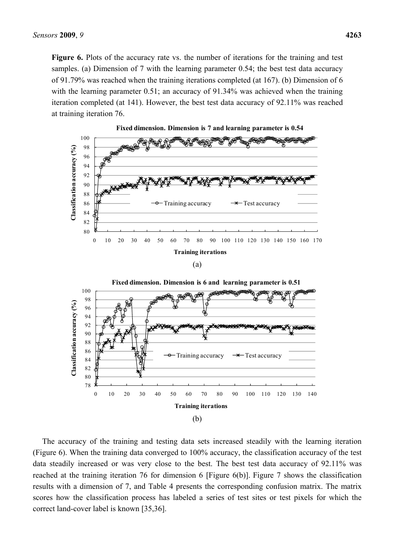Figure 6. Plots of the accuracy rate vs. the number of iterations for the training and test samples. (a) Dimension of 7 with the learning parameter 0.54; the best test data accuracy of 91.79% was reached when the training iterations completed (at 167). (b) Dimension of 6 with the learning parameter 0.51; an accuracy of 91.34% was achieved when the training iteration completed (at 141). However, the best test data accuracy of 92.11% was reached at training iteration 76.



The accuracy of the training and testing data sets increased steadily with the learning iteration (Figure 6). When the training data converged to 100% accuracy, the classification accuracy of the test data steadily increased or was very close to the best. The best test data accuracy of 92.11% was reached at the training iteration 76 for dimension 6 [Figure 6(b)]. Figure 7 shows the classification results with a dimension of 7, and Table 4 presents the corresponding confusion matrix. The matrix scores how the classification process has labeled a series of test sites or test pixels for which the correct land-cover label is known [35,36].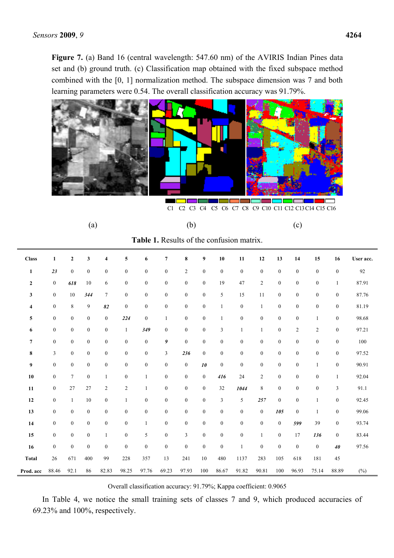Figure 7. (a) Band 16 (central wavelength: 547.60 nm) of the AVIRIS Indian Pines data set and (b) ground truth. (c) Classification map obtained with the fixed subspace method combined with the [0, 1] normalization method. The subspace dimension was 7 and both learning parameters were 0.54. The overall classification accuracy was 91.79%.



C1 C2 C3 C4 C5 C6 C7 C8 C9 C10 C11 C12 C13 C14 C15 C16

| (a) | (b) | (c) |
|-----|-----|-----|
|     |     |     |

**Table 1.** Results of the confusion matrix.

| <b>Class</b>     | $\mathbf{1}$     | $\mathbf{2}$     | $\mathbf{3}$     | $\overline{\mathbf{4}}$ | 5                | 6                | $\overline{7}$   | $\bf 8$          | 9                | $10$             | 11               | 12               | 13               | 14               | 15               | 16               | User acc. |
|------------------|------------------|------------------|------------------|-------------------------|------------------|------------------|------------------|------------------|------------------|------------------|------------------|------------------|------------------|------------------|------------------|------------------|-----------|
| $\mathbf{1}$     | 23               | $\boldsymbol{0}$ | $\boldsymbol{0}$ | $\boldsymbol{0}$        | $\boldsymbol{0}$ | $\boldsymbol{0}$ | $\boldsymbol{0}$ | $\overline{c}$   | $\boldsymbol{0}$ | $\boldsymbol{0}$ | $\boldsymbol{0}$ | $\boldsymbol{0}$ | $\boldsymbol{0}$ | $\boldsymbol{0}$ | $\boldsymbol{0}$ | $\boldsymbol{0}$ | 92        |
| $\boldsymbol{2}$ | $\boldsymbol{0}$ | 618              | 10               | 6                       | $\boldsymbol{0}$ | $\boldsymbol{0}$ | $\boldsymbol{0}$ | $\boldsymbol{0}$ | $\boldsymbol{0}$ | 19               | 47               | $\overline{2}$   | $\boldsymbol{0}$ | $\boldsymbol{0}$ | $\boldsymbol{0}$ | $\mathbf{1}$     | 87.91     |
| 3                | $\boldsymbol{0}$ | 10               | 344              | $\tau$                  | $\boldsymbol{0}$ | $\boldsymbol{0}$ | $\boldsymbol{0}$ | $\boldsymbol{0}$ | $\boldsymbol{0}$ | 5                | 15               | 11               | $\boldsymbol{0}$ | $\boldsymbol{0}$ | $\boldsymbol{0}$ | $\boldsymbol{0}$ | 87.76     |
| 4                | $\boldsymbol{0}$ | 8                | 9                | 82                      | $\boldsymbol{0}$ | $\boldsymbol{0}$ | $\boldsymbol{0}$ | $\boldsymbol{0}$ | $\boldsymbol{0}$ | $\mathbf{1}$     | $\boldsymbol{0}$ | $\mathbf{1}$     | $\boldsymbol{0}$ | $\boldsymbol{0}$ | $\boldsymbol{0}$ | $\boldsymbol{0}$ | 81.19     |
| 5                | $\boldsymbol{0}$ | $\boldsymbol{0}$ | $\boldsymbol{0}$ | $\boldsymbol{0}$        | 224              | $\boldsymbol{0}$ | $\mathbf{1}$     | $\boldsymbol{0}$ | $\boldsymbol{0}$ | $\mathbf{1}$     | $\boldsymbol{0}$ | $\boldsymbol{0}$ | $\boldsymbol{0}$ | $\boldsymbol{0}$ | $\mathbf{1}$     | $\boldsymbol{0}$ | 98.68     |
| 6                | $\boldsymbol{0}$ | $\boldsymbol{0}$ | $\boldsymbol{0}$ | $\boldsymbol{0}$        | $\mathbf{1}$     | 349              | $\boldsymbol{0}$ | $\boldsymbol{0}$ | $\boldsymbol{0}$ | 3                | $\mathbf{1}$     | $\mathbf{1}$     | $\boldsymbol{0}$ | $\overline{c}$   | $\overline{c}$   | $\boldsymbol{0}$ | 97.21     |
| $\overline{7}$   | $\mathbf{0}$     | $\boldsymbol{0}$ | $\boldsymbol{0}$ | $\boldsymbol{0}$        | $\boldsymbol{0}$ | $\boldsymbol{0}$ | 9                | $\boldsymbol{0}$ | $\boldsymbol{0}$ | $\boldsymbol{0}$ | $\boldsymbol{0}$ | $\boldsymbol{0}$ | $\boldsymbol{0}$ | $\boldsymbol{0}$ | $\boldsymbol{0}$ | $\boldsymbol{0}$ | 100       |
| $\bf 8$          | 3                | $\boldsymbol{0}$ | $\boldsymbol{0}$ | $\boldsymbol{0}$        | $\boldsymbol{0}$ | $\boldsymbol{0}$ | $\mathfrak{Z}$   | 236              | $\boldsymbol{0}$ | $\boldsymbol{0}$ | $\boldsymbol{0}$ | $\boldsymbol{0}$ | $\boldsymbol{0}$ | $\boldsymbol{0}$ | $\boldsymbol{0}$ | $\boldsymbol{0}$ | 97.52     |
| 9                | $\boldsymbol{0}$ | $\boldsymbol{0}$ | $\boldsymbol{0}$ | $\boldsymbol{0}$        | $\boldsymbol{0}$ | $\boldsymbol{0}$ | $\boldsymbol{0}$ | $\boldsymbol{0}$ | 10               | $\boldsymbol{0}$ | $\boldsymbol{0}$ | $\boldsymbol{0}$ | $\boldsymbol{0}$ | $\boldsymbol{0}$ | 1                | $\boldsymbol{0}$ | 90.91     |
| 10               | $\boldsymbol{0}$ | $\tau$           | $\boldsymbol{0}$ | $\mathbf{1}$            | $\boldsymbol{0}$ | $\mathbf{1}$     | $\boldsymbol{0}$ | $\boldsymbol{0}$ | $\boldsymbol{0}$ | 416              | 24               | $\overline{2}$   | $\boldsymbol{0}$ | $\boldsymbol{0}$ | $\boldsymbol{0}$ | $\mathbf{1}$     | 92.04     |
| 11               | $\boldsymbol{0}$ | 27               | 27               | $\overline{c}$          | $\overline{c}$   | $\mathbf{1}$     | $\boldsymbol{0}$ | $\boldsymbol{0}$ | $\boldsymbol{0}$ | 32               | 1044             | $\,8\,$          | $\boldsymbol{0}$ | $\boldsymbol{0}$ | $\boldsymbol{0}$ | 3                | 91.1      |
| 12               | $\boldsymbol{0}$ | $\mathbf{1}$     | 10               | $\boldsymbol{0}$        | 1                | $\boldsymbol{0}$ | $\boldsymbol{0}$ | $\boldsymbol{0}$ | $\boldsymbol{0}$ | 3                | 5                | 257              | $\boldsymbol{0}$ | $\boldsymbol{0}$ | 1                | $\boldsymbol{0}$ | 92.45     |
| 13               | $\boldsymbol{0}$ | $\overline{0}$   | $\boldsymbol{0}$ | $\boldsymbol{0}$        | $\boldsymbol{0}$ | $\boldsymbol{0}$ | $\boldsymbol{0}$ | $\boldsymbol{0}$ | $\boldsymbol{0}$ | $\boldsymbol{0}$ | $\boldsymbol{0}$ | $\mathbf{0}$     | 105              | $\boldsymbol{0}$ | $\mathbf{1}$     | $\boldsymbol{0}$ | 99.06     |
| 14               | $\boldsymbol{0}$ | $\boldsymbol{0}$ | $\boldsymbol{0}$ | $\boldsymbol{0}$        | $\boldsymbol{0}$ | $\mathbf{1}$     | $\boldsymbol{0}$ | $\boldsymbol{0}$ | $\boldsymbol{0}$ | $\boldsymbol{0}$ | $\boldsymbol{0}$ | $\boldsymbol{0}$ | $\boldsymbol{0}$ | 599              | 39               | $\boldsymbol{0}$ | 93.74     |
| 15               | $\boldsymbol{0}$ | $\boldsymbol{0}$ | $\boldsymbol{0}$ | $\mathbf{1}$            | $\boldsymbol{0}$ | 5                | $\boldsymbol{0}$ | 3                | $\boldsymbol{0}$ | $\boldsymbol{0}$ | $\boldsymbol{0}$ | $\mathbf{1}$     | $\boldsymbol{0}$ | 17               | 136              | $\boldsymbol{0}$ | 83.44     |
| 16               | $\boldsymbol{0}$ | $\boldsymbol{0}$ | $\boldsymbol{0}$ | $\boldsymbol{0}$        | $\boldsymbol{0}$ | $\boldsymbol{0}$ | $\boldsymbol{0}$ | $\boldsymbol{0}$ | $\boldsymbol{0}$ | $\boldsymbol{0}$ | $\mathbf{1}$     | $\boldsymbol{0}$ | $\boldsymbol{0}$ | $\boldsymbol{0}$ | $\boldsymbol{0}$ | 40               | 97.56     |
| <b>Total</b>     | 26               | 671              | 400              | 99                      | 228              | 357              | 13               | 241              | $10\,$           | 480              | 1137             | 283              | 105              | 618              | 181              | 45               |           |
| Prod. acc        | 88.46            | 92.1             | 86               | 82.83                   | 98.25            | 97.76            | 69.23            | 97.93            | 100              | 86.67            | 91.82            | 90.81            | 100              | 96.93            | 75.14            | 88.89            | (%)       |

Overall classification accuracy: 91.79%; Kappa coefficient: 0.9065

In Table 4, we notice the small training sets of classes 7 and 9, which produced accuracies of 69.23% and 100%, respectively.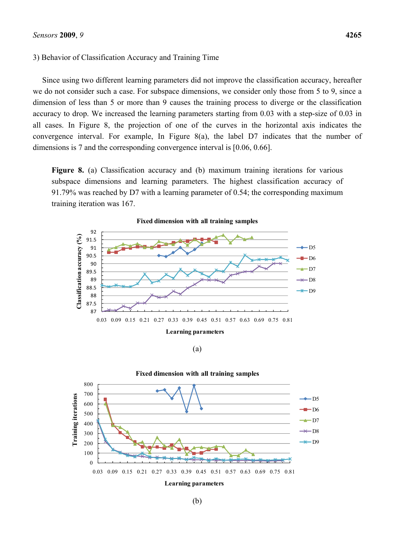### 3) Behavior of Classification Accuracy and Training Time

Since using two different learning parameters did not improve the classification accuracy, hereafter we do not consider such a case. For subspace dimensions, we consider only those from 5 to 9, since a dimension of less than 5 or more than 9 causes the training process to diverge or the classification accuracy to drop. We increased the learning parameters starting from 0.03 with a step-size of 0.03 in all cases. In Figure 8, the projection of one of the curves in the horizontal axis indicates the convergence interval. For example, In Figure 8(a), the label D7 indicates that the number of dimensions is 7 and the corresponding convergence interval is [0.06, 0.66].

Figure 8. (a) Classification accuracy and (b) maximum training iterations for various subspace dimensions and learning parameters. The highest classification accuracy of 91.79% was reached by D7 with a learning parameter of 0.54; the corresponding maximum training iteration was 167.



(a)

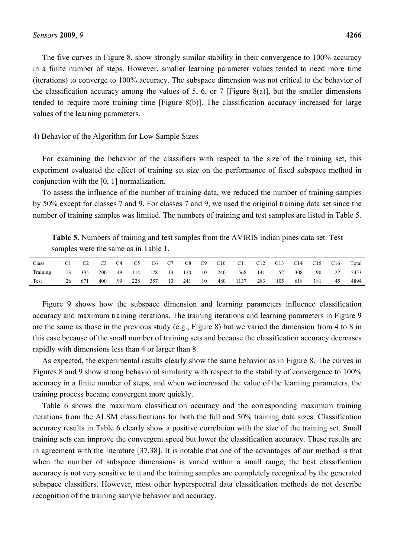The five curves in Figure 8, show strongly similar stability in their convergence to 100% accuracy in a finite number of steps. However, smaller learning parameter values tended to need more time (iterations) to converge to 100% accuracy. The subspace dimension was not critical to the behavior of the classification accuracy among the values of 5, 6, or 7 [Figure 8(a)], but the smaller dimensions tended to require more training time [Figure 8(b)]. The classification accuracy increased for large values of the learning parameters.

### 4) Behavior of the Algorithm for Low Sample Sizes

For examining the behavior of the classifiers with respect to the size of the training set, this experiment evaluated the effect of training set size on the performance of fixed subspace method in conjunction with the [0, 1] normalization.

To assess the influence of the number of training data, we reduced the number of training samples by 50% except for classes 7 and 9. For classes 7 and 9, we used the original training data set since the number of training samples was limited. The numbers of training and test samples are listed in Table 5.

**Table 5.** Numbers of training and test samples from the AVIRIS indian pines data set. Test samples were the same as in Table 1.

| Class    |    | C <sub>2</sub> | C <sub>3</sub> | C4 | C5  | C6  | C7 |     | $C8$ $C9$ | C10 | C11  | C12 | C13  | C14 | C15 | C <sub>16</sub> | Total |
|----------|----|----------------|----------------|----|-----|-----|----|-----|-----------|-----|------|-----|------|-----|-----|-----------------|-------|
| Training | 13 | 335            | 200            | 49 | 114 | 178 | 13 | 120 | 10        | 240 | 568  | 141 | - 52 | 308 | 90  | 22              | 2453  |
| Test     | 26 | 671            | 400            | 99 | 228 | 357 | 13 | 241 | 10        | 480 | 1137 | 283 | 105  | 618 | 181 | 45              | 4894  |

Figure 9 shows how the subspace dimension and learning parameters influence classification accuracy and maximum training iterations. The training iterations and learning parameters in Figure 9 are the same as those in the previous study (e.g., Figure 8) but we varied the dimension from 4 to 8 in this case because of the small number of training sets and because the classification accuracy decreases rapidly with dimensions less than 4 or larger than 8.

As expected, the experimental results clearly show the same behavior as in Figure 8. The curves in Figures 8 and 9 show strong behavioral similarity with respect to the stability of convergence to 100% accuracy in a finite number of steps, and when we increased the value of the learning parameters, the training process became convergent more quickly.

Table 6 shows the maximum classification accuracy and the corresponding maximum training iterations from the ALSM classifications for both the full and 50% training data sizes. Classification accuracy results in Table 6 clearly show a positive correlation with the size of the training set. Small training sets can improve the convergent speed but lower the classification accuracy. These results are in agreement with the literature [37,38]. It is notable that one of the advantages of our method is that when the number of subspace dimensions is varied within a small range, the best classification accuracy is not very sensitive to it and the training samples are completely recognized by the generated subspace classifiers. However, most other hyperspectral data classification methods do not describe recognition of the training sample behavior and accuracy.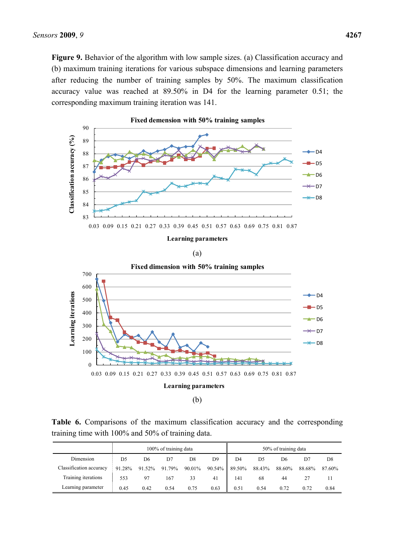**Figure 9.** Behavior of the algorithm with low sample sizes. (a) Classification accuracy and (b) maximum training iterations for various subspace dimensions and learning parameters after reducing the number of training samples by 50%. The maximum classification accuracy value was reached at 89.50% in D4 for the learning parameter 0.51; the corresponding maximum training iteration was 141.



**Table 6.** Comparisons of the maximum classification accuracy and the corresponding training time with 100% and 50% of training data.

|                         |                |        | 100% of training data |        |                  | 50% of training data |        |        |        |                |  |  |
|-------------------------|----------------|--------|-----------------------|--------|------------------|----------------------|--------|--------|--------|----------------|--|--|
| Dimension               | D <sub>5</sub> | D6     | D7                    | D8     | D9               | D4                   | D5     | D6     | D7     | D <sub>8</sub> |  |  |
| Classification accuracy | 91.28%         | 91.52% | 91.79%                | 90.01% | $90.54\%$ 89.50% |                      | 88.43% | 88.60% | 88.68% | 87.60%         |  |  |
| Training iterations     | 553            | 97     | 167                   | 33     | 41               | 141                  | 68     | 44     |        |                |  |  |
| Learning parameter      | 0.45           | 0.42   | 0.54                  | 0.75   | 0.63             | 0.51                 | 0.54   | 0.72   | 0.72   | 0.84           |  |  |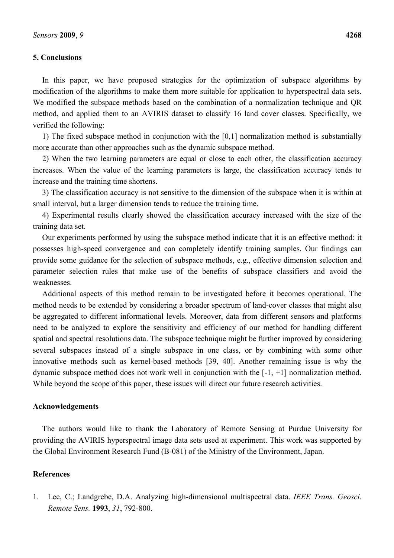# **5. Conclusions**

In this paper, we have proposed strategies for the optimization of subspace algorithms by modification of the algorithms to make them more suitable for application to hyperspectral data sets. We modified the subspace methods based on the combination of a normalization technique and QR method, and applied them to an AVIRIS dataset to classify 16 land cover classes. Specifically, we verified the following:

1) The fixed subspace method in conjunction with the [0,1] normalization method is substantially more accurate than other approaches such as the dynamic subspace method.

2) When the two learning parameters are equal or close to each other, the classification accuracy increases. When the value of the learning parameters is large, the classification accuracy tends to increase and the training time shortens.

3) The classification accuracy is not sensitive to the dimension of the subspace when it is within at small interval, but a larger dimension tends to reduce the training time.

4) Experimental results clearly showed the classification accuracy increased with the size of the training data set.

Our experiments performed by using the subspace method indicate that it is an effective method: it possesses high-speed convergence and can completely identify training samples. Our findings can provide some guidance for the selection of subspace methods, e.g., effective dimension selection and parameter selection rules that make use of the benefits of subspace classifiers and avoid the weaknesses.

Additional aspects of this method remain to be investigated before it becomes operational. The method needs to be extended by considering a broader spectrum of land-cover classes that might also be aggregated to different informational levels. Moreover, data from different sensors and platforms need to be analyzed to explore the sensitivity and efficiency of our method for handling different spatial and spectral resolutions data. The subspace technique might be further improved by considering several subspaces instead of a single subspace in one class, or by combining with some other innovative methods such as kernel-based methods [39, 40]. Another remaining issue is why the dynamic subspace method does not work well in conjunction with the [-1, +1] normalization method. While beyond the scope of this paper, these issues will direct our future research activities.

# **Acknowledgements**

The authors would like to thank the Laboratory of Remote Sensing at Purdue University for providing the AVIRIS hyperspectral image data sets used at experiment. This work was supported by the Global Environment Research Fund (B-081) of the Ministry of the Environment, Japan.

# **References**

1. Lee, C.; Landgrebe, D.A. Analyzing high-dimensional multispectral data. *IEEE Trans. Geosci. Remote Sens.* **1993**, *31*, 792-800.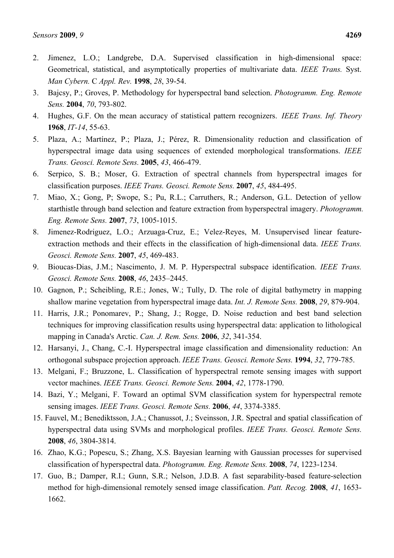- 2. Jimenez, L.O.; Landgrebe, D.A. Supervised classification in high-dimensional space: Geometrical, statistical, and asymptotically properties of multivariate data. *IEEE Trans.* Syst. *Man Cybern.* C *Appl. Rev.* **1998**, *28*, 39-54.
- 3. Bajcsy, P.; Groves, P. Methodology for hyperspectral band selection. *Photogramm. Eng. Remote Sens.* **2004**, *70*, 793-802.
- 4. Hughes, G.F. On the mean accuracy of statistical pattern recognizers. *IEEE Trans. Inf. Theory*  **1968**, *IT-14*, 55-63.
- 5. Plaza, A.; Martínez, P.; Plaza, J.; Pérez, R. Dimensionality reduction and classification of hyperspectral image data using sequences of extended morphological transformations. *IEEE Trans. Geosci. Remote Sens.* **2005**, *43*, 466-479.
- 6. Serpico, S. B.; Moser, G. Extraction of spectral channels from hyperspectral images for classification purposes. *IEEE Trans. Geosci. Remote Sens.* **2007**, *45*, 484-495.
- 7. Miao, X.; Gong, P; Swope, S.; Pu, R.L.; Carruthers, R.; Anderson, G.L. Detection of yellow starthistle through band selection and feature extraction from hyperspectral imagery. *Photogramm. Eng. Remote Sens.* **2007**, *73*, 1005-1015.
- 8. Jimenez-Rodriguez, L.O.; Arzuaga-Cruz, E.; Velez-Reyes, M. Unsupervised linear featureextraction methods and their effects in the classification of high-dimensional data. *IEEE Trans. Geosci. Remote Sens.* **2007**, *45*, 469-483.
- 9. Bioucas-Dias, J.M.; Nascimento, J. M. P. Hyperspectral subspace identification. *IEEE Trans. Geosci. Remote Sens.* **2008**, *46*, 2435–2445.
- 10. Gagnon, P.; Scheibling, R.E.; Jones, W.; Tully, D. The role of digital bathymetry in mapping shallow marine vegetation from hyperspectral image data. *Int. J. Remote Sens.* **2008**, *29*, 879-904.
- 11. Harris, J.R.; Ponomarev, P.; Shang, J.; Rogge, D. Noise reduction and best band selection techniques for improving classification results using hyperspectral data: application to lithological mapping in Canada's Arctic. *Can. J. Rem. Sens.* **2006**, *32*, 341-354.
- 12. Harsanyi, J., Chang, C.-I. Hyperspectral image classification and dimensionality reduction: An orthogonal subspace projection approach. *IEEE Trans. Geosci. Remote Sens.* **1994**, *32*, 779-785.
- 13. Melgani, F.; Bruzzone, L. Classification of hyperspectral remote sensing images with support vector machines. *IEEE Trans. Geosci. Remote Sens.* **2004**, *42*, 1778-1790.
- 14. Bazi, Y.; Melgani, F. Toward an optimal SVM classification system for hyperspectral remote sensing images. *IEEE Trans. Geosci. Remote Sens.* **2006**, *44*, 3374-3385.
- 15. Fauvel, M.; Benediktsson, J.A.; Chanussot, J.; Sveinsson, J.R. Spectral and spatial classification of hyperspectral data using SVMs and morphological profiles. *IEEE Trans. Geosci. Remote Sens.*  **2008**, *46*, 3804-3814.
- 16. Zhao, K.G.; Popescu, S.; Zhang, X.S. Bayesian learning with Gaussian processes for supervised classification of hyperspectral data. *Photogramm. Eng. Remote Sens.* **2008**, *74*, 1223-1234.
- 17. Guo, B.; Damper, R.I.; Gunn, S.R.; Nelson, J.D.B. A fast separability-based feature-selection method for high-dimensional remotely sensed image classification. *Patt. Recog.* **2008**, *41*, 1653- 1662.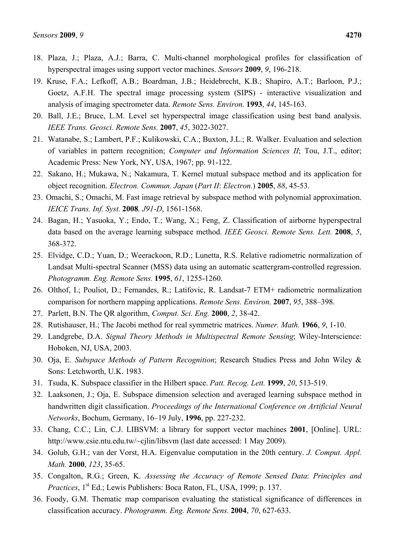- 18. Plaza, J.; Plaza, A.J.; Barra, C. Multi-channel morphological profiles for classification of hyperspectral images using support vector machines. *Sensors* **2009**, *9*, 196-218.
- 19. Kruse, F.A.; Lefkoff, A.B.; Boardman, J.B.; Heidebrecht, K.B.; Shapiro, A.T.; Barloon, P.J.; Goetz, A.F.H. The spectral image processing system (SIPS) - interactive visualization and analysis of imaging spectrometer data. *Remote Sens. Environ.* **1993**, *44*, 145-163.
- 20. Ball, J.E.; Bruce, L.M. Level set hyperspectral image classification using best band analysis. *IEEE Trans. Geosci. Remote Sens.* **2007**, *45*, 3022-3027.
- 21. Watanabe, S.; Lambert, P.F.; Kulikowski, C.A.; Buxton, J.L.; R. Walker. Evaluation and selection of variables in pattern recognition; *Computer and Information Sciences II*; Tou, J.T., editor; Academic Press: New York, NY, USA, 1967; pp. 91-122.
- 22. Sakano, H.; Mukawa, N.; Nakamura, T. Kernel mutual subspace method and its application for object recognition. *Electron. Commun. Japan* (*Part II*: *Electron.*) **2005**, *88*, 45-53.
- 23. Omachi, S.; Omachi, M. Fast image retrieval by subspace method with polynomial approximation. *IEICE Trans. Inf. Syst.* **2008***, J91-D*, 1561-1568.
- 24. Bagan, H.; Yasuoka, Y.; Endo, T.; Wang, X.; Feng, Z. Classification of airborne hyperspectral data based on the average learning subspace method. *IEEE Geosci. Remote Sens. Lett.* **2008**, *5*, 368-372.
- 25. Elvidge, C.D.; Yuan, D.; Weerackoon, R.D.; Lunetta, R.S. Relative radiometric normalization of Landsat Multi-spectral Scanner (MSS) data using an automatic scattergram-controlled regression. *Photogramm. Eng. Remote Sens.* **1995**, *61*, 1255-1260.
- 26. Olthof, I.; Pouliot, D.; Fernandes, R.; Latifovic, R. Landsat-7 ETM+ radiometric normalization comparison for northern mapping applications. *Remote Sens. Environ.* **2007**, *95*, 388–398.
- 27. Parlett, B.N. The QR algorithm, *Comput. Sci. Eng.* **2000**, *2*, 38-42.
- 28. Rutishauser, H.; The Jacobi method for real symmetric matrices. *Numer. Math.* **1966**, *9*, 1-10.
- 29. Landgrebe, D.A. *Signal Theory Methods in Multispectral Remote Sensing*; Wiley-Interscience: Hoboken, NJ, USA, 2003.
- 30. Oja, E. *Subspace Methods of Pattern Recognition*; Research Studies Press and John Wiley & Sons: Letchworth, U.K. 1983.
- 31. Tsuda, K. Subspace classifier in the Hilbert space. *Patt. Recog. Lett.* **1999**, *20*, 513-519.
- 32. Laaksonen, J.; Oja, E. Subspace dimension selection and averaged learning subspace method in handwritten digit classification. *Proceedings of the International Conference on Artificial Neural Networks*, Bochum, Germany, 16–19 July, **1996**, pp. 227-232.
- 33. Chang, C.C.; Lin, C.J. LIBSVM: a library for support vector machines **2001**, [Online]. URL: http://www.csie.ntu.edu.tw/~cjlin/libsvm (last date accessed: 1 May 2009).
- 34. Golub, G.H.; van der Vorst, H.A. Eigenvalue computation in the 20th century. *J. Comput. Appl. Math.* **2000**, *123*, 35-65.
- 35. Congalton, R.G.; Green, K. *Assessing the Accuracy of Remote Sensed Data*: *Principles and Practices*, 1<sup>st</sup> Ed.; Lewis Publishers: Boca Raton, FL, USA, 1999; p. 137.
- 36. Foody, G.M. Thematic map comparison evaluating the statistical significance of differences in classification accuracy. *Photogramm. Eng. Remote Sens.* **2004**, *70*, 627-633.